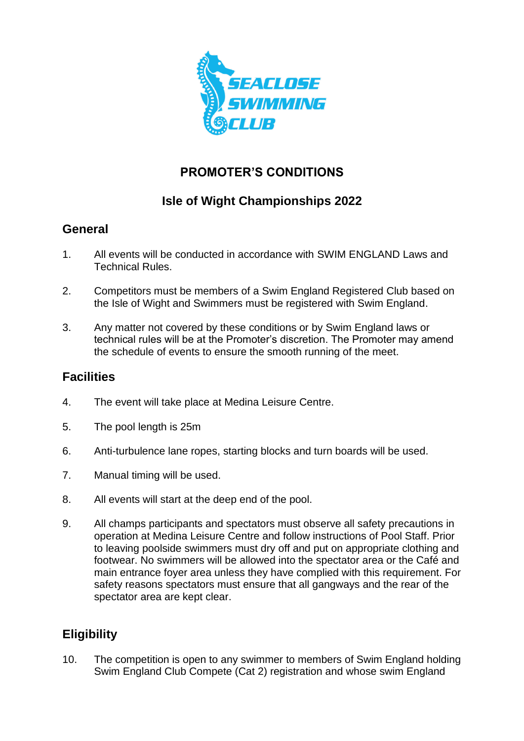

# **PROMOTER'S CONDITIONS**

# **Isle of Wight Championships 2022**

## **General**

- 1. All events will be conducted in accordance with SWIM ENGLAND Laws and Technical Rules.
- 2. Competitors must be members of a Swim England Registered Club based on the Isle of Wight and Swimmers must be registered with Swim England.
- 3. Any matter not covered by these conditions or by Swim England laws or technical rules will be at the Promoter's discretion. The Promoter may amend the schedule of events to ensure the smooth running of the meet.

## **Facilities**

- 4. The event will take place at Medina Leisure Centre.
- 5. The pool length is 25m
- 6. Anti-turbulence lane ropes, starting blocks and turn boards will be used.
- 7. Manual timing will be used.
- 8. All events will start at the deep end of the pool.
- 9. All champs participants and spectators must observe all safety precautions in operation at Medina Leisure Centre and follow instructions of Pool Staff. Prior to leaving poolside swimmers must dry off and put on appropriate clothing and footwear. No swimmers will be allowed into the spectator area or the Café and main entrance foyer area unless they have complied with this requirement. For safety reasons spectators must ensure that all gangways and the rear of the spectator area are kept clear.

# **Eligibility**

10. The competition is open to any swimmer to members of Swim England holding Swim England Club Compete (Cat 2) registration and whose swim England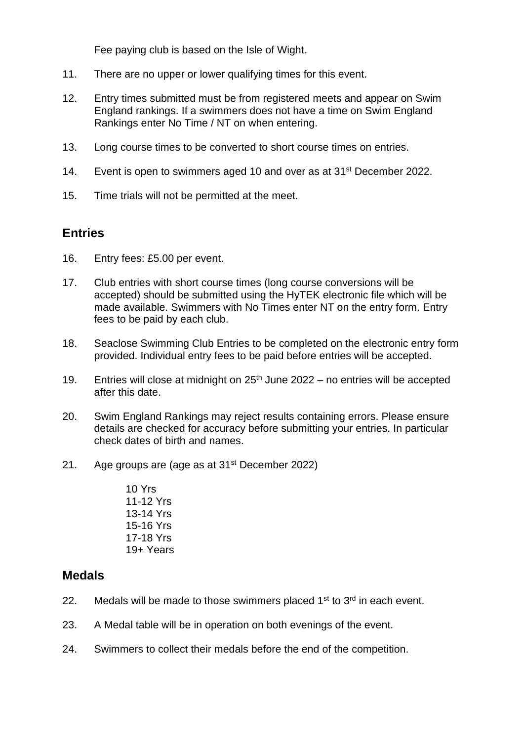Fee paying club is based on the Isle of Wight.

- 11. There are no upper or lower qualifying times for this event.
- 12. Entry times submitted must be from registered meets and appear on Swim England rankings. If a swimmers does not have a time on Swim England Rankings enter No Time / NT on when entering.
- 13. Long course times to be converted to short course times on entries.
- 14. Event is open to swimmers aged 10 and over as at 31<sup>st</sup> December 2022.
- 15. Time trials will not be permitted at the meet.

### **Entries**

- 16. Entry fees: £5.00 per event.
- 17. Club entries with short course times (long course conversions will be accepted) should be submitted using the HyTEK electronic file which will be made available. Swimmers with No Times enter NT on the entry form. Entry fees to be paid by each club.
- 18. Seaclose Swimming Club Entries to be completed on the electronic entry form provided. Individual entry fees to be paid before entries will be accepted.
- 19. Entries will close at midnight on  $25<sup>th</sup>$  June 2022 no entries will be accepted after this date.
- 20. Swim England Rankings may reject results containing errors. Please ensure details are checked for accuracy before submitting your entries. In particular check dates of birth and names.
- 21. Age groups are (age as at  $31<sup>st</sup>$  December 2022)
	- 10 Yrs 11-12 Yrs 13-14 Yrs 15-16 Yrs 17-18 Yrs 19+ Years

### **Medals**

- 22. Medals will be made to those swimmers placed  $1<sup>st</sup>$  to  $3<sup>rd</sup>$  in each event.
- 23. A Medal table will be in operation on both evenings of the event.
- 24. Swimmers to collect their medals before the end of the competition.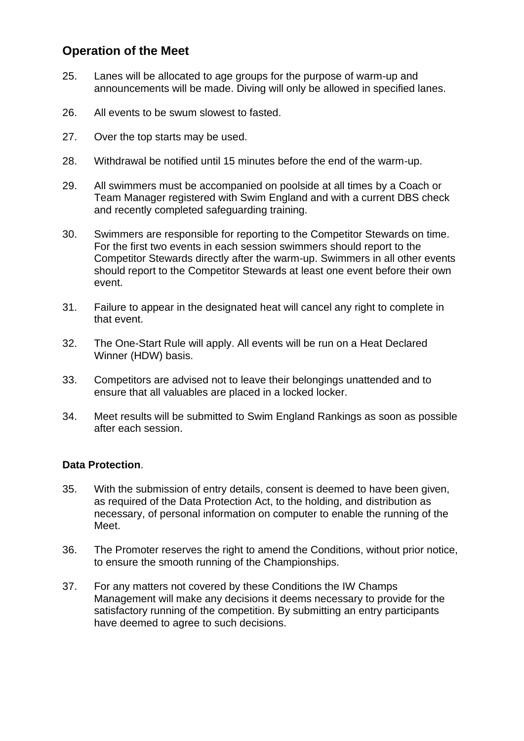## **Operation of the Meet**

- 25. Lanes will be allocated to age groups for the purpose of warm-up and announcements will be made. Diving will only be allowed in specified lanes.
- 26. All events to be swum slowest to fasted.
- 27. Over the top starts may be used.
- 28. Withdrawal be notified until 15 minutes before the end of the warm-up.
- 29. All swimmers must be accompanied on poolside at all times by a Coach or Team Manager registered with Swim England and with a current DBS check and recently completed safeguarding training.
- 30. Swimmers are responsible for reporting to the Competitor Stewards on time. For the first two events in each session swimmers should report to the Competitor Stewards directly after the warm-up. Swimmers in all other events should report to the Competitor Stewards at least one event before their own event.
- 31. Failure to appear in the designated heat will cancel any right to complete in that event.
- 32. The One-Start Rule will apply. All events will be run on a Heat Declared Winner (HDW) basis.
- 33. Competitors are advised not to leave their belongings unattended and to ensure that all valuables are placed in a locked locker.
- 34. Meet results will be submitted to Swim England Rankings as soon as possible after each session.

#### **Data Protection**.

- 35. With the submission of entry details, consent is deemed to have been given, as required of the Data Protection Act, to the holding, and distribution as necessary, of personal information on computer to enable the running of the Meet.
- 36. The Promoter reserves the right to amend the Conditions, without prior notice, to ensure the smooth running of the Championships.
- 37. For any matters not covered by these Conditions the IW Champs Management will make any decisions it deems necessary to provide for the satisfactory running of the competition. By submitting an entry participants have deemed to agree to such decisions.